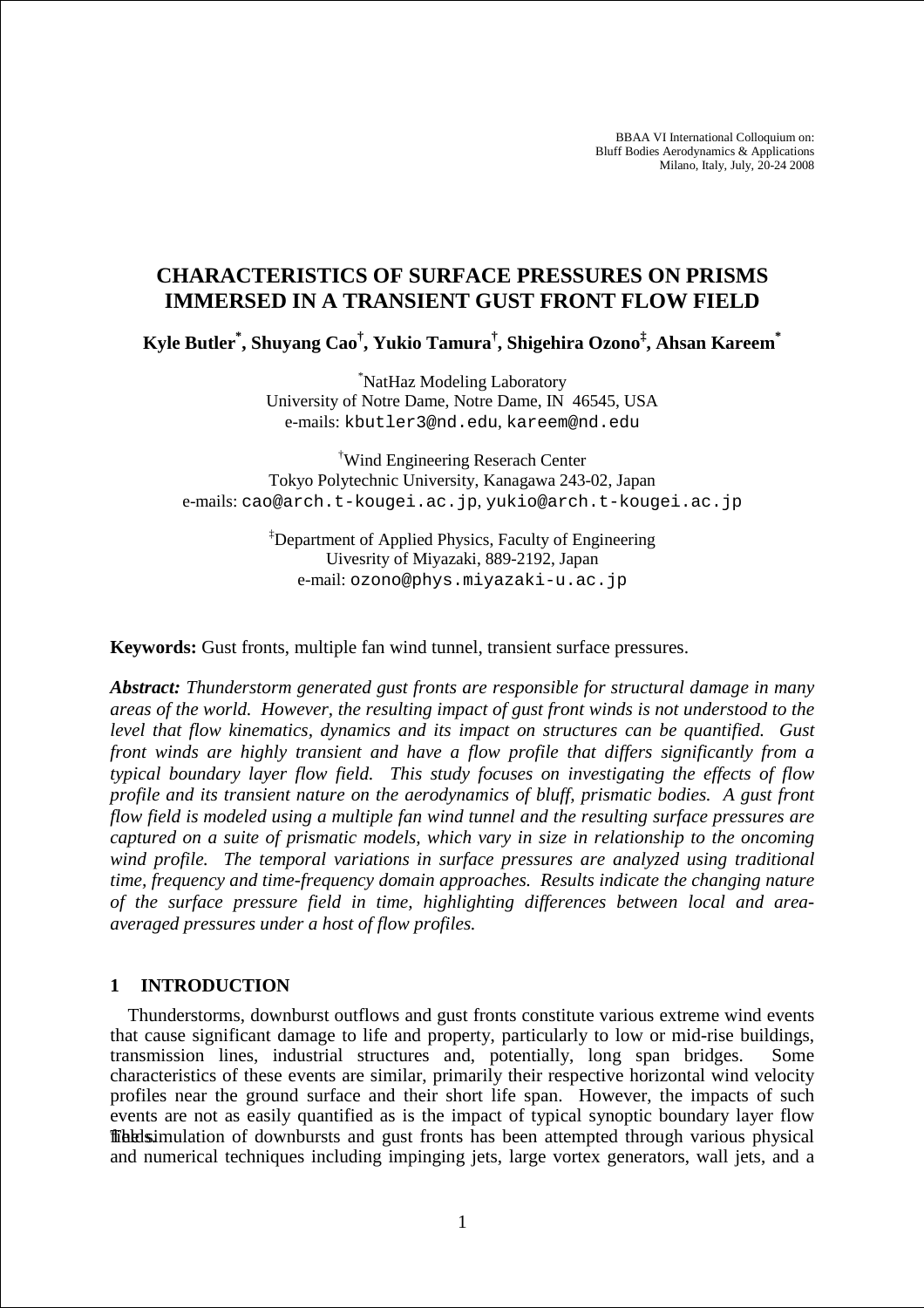BBAA VI International Colloquium on: Bluff Bodies Aerodynamics & Applications Milano, Italy, July, 20-24 2008

# **CHARACTERISTICS OF SURFACE PRESSURES ON PRISMS IMMERSED IN A TRANSIENT GUST FRONT FLOW FIELD**

**Kyle Butler\* , Shuyang Cao† , Yukio Tamura† , Shigehira Ozono‡ , Ahsan Kareem\*** 

\*NatHaz Modeling Laboratory University of Notre Dame, Notre Dame, IN 46545, USA e-mails: kbutler3@nd.edu, kareem@nd.edu

†Wind Engineering Reserach Center Tokyo Polytechnic University, Kanagawa 243-02, Japan e-mails: cao@arch.t-kougei.ac.jp, yukio@arch.t-kougei.ac.jp

> ‡Department of Applied Physics, Faculty of Engineering Uivesrity of Miyazaki, 889-2192, Japan e-mail: ozono@phys.miyazaki-u.ac.jp

**Keywords:** Gust fronts, multiple fan wind tunnel, transient surface pressures.

*Abstract: Thunderstorm generated gust fronts are responsible for structural damage in many areas of the world. However, the resulting impact of gust front winds is not understood to the level that flow kinematics, dynamics and its impact on structures can be quantified. Gust front winds are highly transient and have a flow profile that differs significantly from a typical boundary layer flow field. This study focuses on investigating the effects of flow profile and its transient nature on the aerodynamics of bluff, prismatic bodies. A gust front flow field is modeled using a multiple fan wind tunnel and the resulting surface pressures are captured on a suite of prismatic models, which vary in size in relationship to the oncoming wind profile. The temporal variations in surface pressures are analyzed using traditional time, frequency and time-frequency domain approaches. Results indicate the changing nature of the surface pressure field in time, highlighting differences between local and areaaveraged pressures under a host of flow profiles.* 

#### **1 INTRODUCTION**

Thunderstorms, downburst outflows and gust fronts constitute various extreme wind events that cause significant damage to life and property, particularly to low or mid-rise buildings, transmission lines, industrial structures and, potentially, long span bridges. Some characteristics of these events are similar, primarily their respective horizontal wind velocity profiles near the ground surface and their short life span. However, the impacts of such events are not as easily quantified as is the impact of typical synoptic boundary layer flow **ffibiolity** fields. The simulation of downbursts and gust fronts has been attempted through various physical and numerical techniques including impinging jets, large vortex generators, wall jets, and a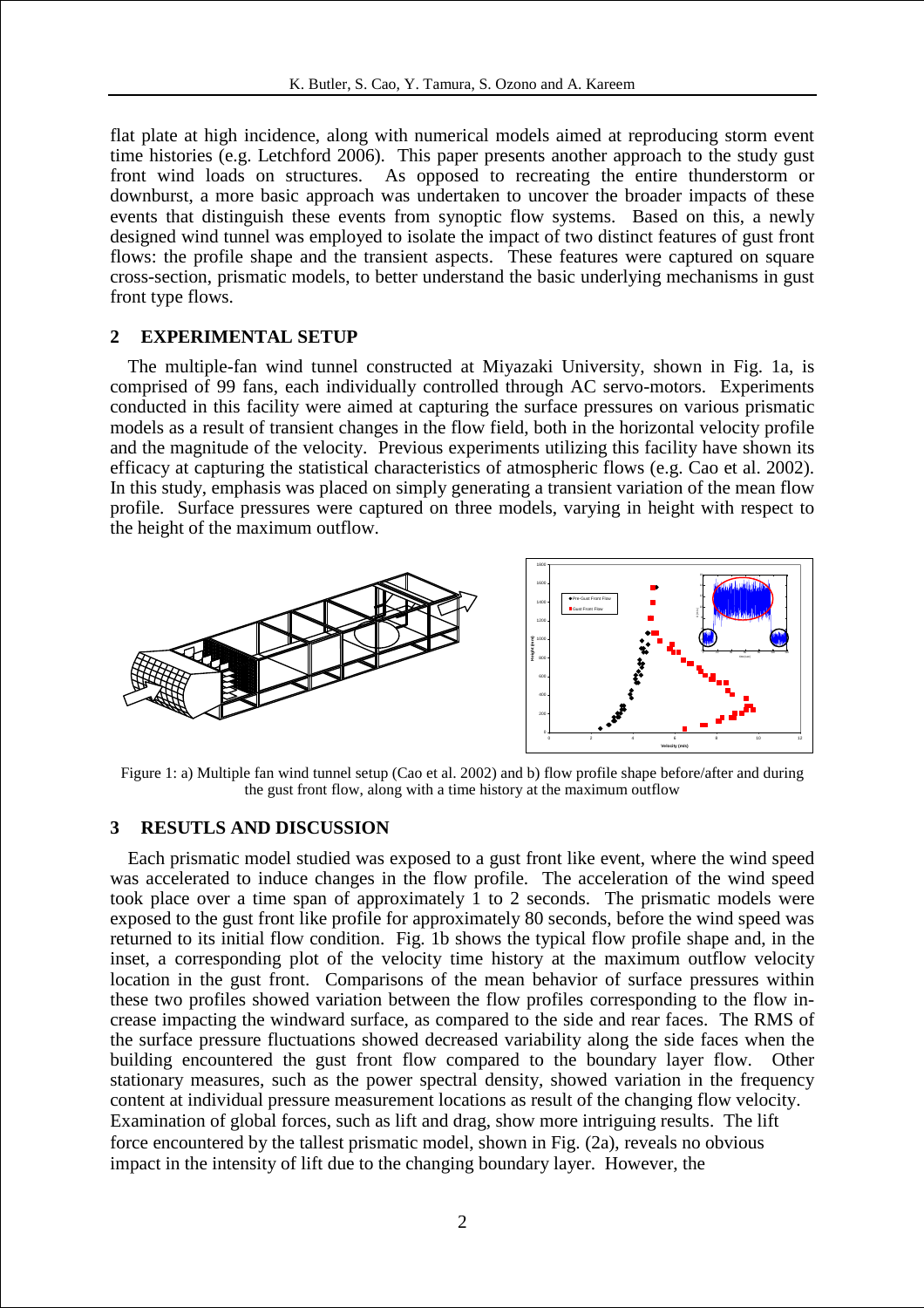flat plate at high incidence, along with numerical models aimed at reproducing storm event time histories (e.g. Letchford 2006). This paper presents another approach to the study gust front wind loads on structures. As opposed to recreating the entire thunderstorm or downburst, a more basic approach was undertaken to uncover the broader impacts of these events that distinguish these events from synoptic flow systems. Based on this, a newly designed wind tunnel was employed to isolate the impact of two distinct features of gust front flows: the profile shape and the transient aspects. These features were captured on square cross-section, prismatic models, to better understand the basic underlying mechanisms in gust front type flows.

#### **2 EXPERIMENTAL SETUP**

The multiple-fan wind tunnel constructed at Miyazaki University, shown in Fig. 1a, is comprised of 99 fans, each individually controlled through AC servo-motors. Experiments conducted in this facility were aimed at capturing the surface pressures on various prismatic models as a result of transient changes in the flow field, both in the horizontal velocity profile and the magnitude of the velocity. Previous experiments utilizing this facility have shown its efficacy at capturing the statistical characteristics of atmospheric flows (e.g. Cao et al. 2002). In this study, emphasis was placed on simply generating a transient variation of the mean flow profile. Surface pressures were captured on three models, varying in height with respect to the height of the maximum outflow.



Figure 1: a) Multiple fan wind tunnel setup (Cao et al. 2002) and b) flow profile shape before/after and during the gust front flow, along with a time history at the maximum outflow

## **3 RESUTLS AND DISCUSSION**

Each prismatic model studied was exposed to a gust front like event, where the wind speed was accelerated to induce changes in the flow profile. The acceleration of the wind speed took place over a time span of approximately 1 to 2 seconds. The prismatic models were exposed to the gust front like profile for approximately 80 seconds, before the wind speed was returned to its initial flow condition. Fig. 1b shows the typical flow profile shape and, in the inset, a corresponding plot of the velocity time history at the maximum outflow velocity location in the gust front. Comparisons of the mean behavior of surface pressures within these two profiles showed variation between the flow profiles corresponding to the flow increase impacting the windward surface, as compared to the side and rear faces. The RMS of the surface pressure fluctuations showed decreased variability along the side faces when the building encountered the gust front flow compared to the boundary layer flow. Other stationary measures, such as the power spectral density, showed variation in the frequency content at individual pressure measurement locations as result of the changing flow velocity. Examination of global forces, such as lift and drag, show more intriguing results. The lift force encountered by the tallest prismatic model, shown in Fig. (2a), reveals no obvious impact in the intensity of lift due to the changing boundary layer. However, the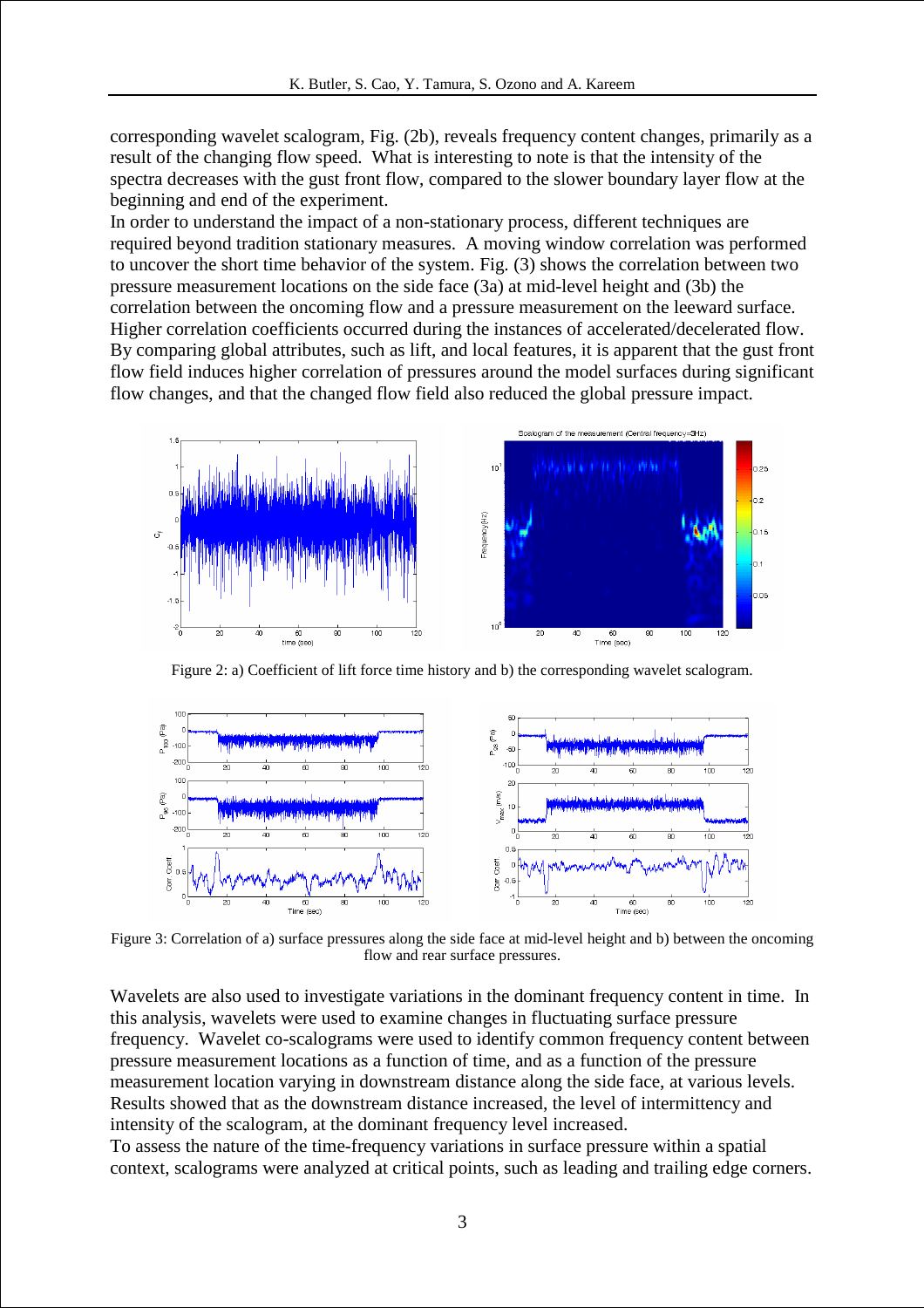corresponding wavelet scalogram, Fig. (2b), reveals frequency content changes, primarily as a result of the changing flow speed. What is interesting to note is that the intensity of the spectra decreases with the gust front flow, compared to the slower boundary layer flow at the beginning and end of the experiment.

In order to understand the impact of a non-stationary process, different techniques are required beyond tradition stationary measures. A moving window correlation was performed to uncover the short time behavior of the system. Fig. (3) shows the correlation between two pressure measurement locations on the side face (3a) at mid-level height and (3b) the correlation between the oncoming flow and a pressure measurement on the leeward surface. Higher correlation coefficients occurred during the instances of accelerated/decelerated flow. By comparing global attributes, such as lift, and local features, it is apparent that the gust front flow field induces higher correlation of pressures around the model surfaces during significant flow changes, and that the changed flow field also reduced the global pressure impact.



Figure 2: a) Coefficient of lift force time history and b) the corresponding wavelet scalogram.



Figure 3: Correlation of a) surface pressures along the side face at mid-level height and b) between the oncoming flow and rear surface pressures.

Wavelets are also used to investigate variations in the dominant frequency content in time. In this analysis, wavelets were used to examine changes in fluctuating surface pressure frequency. Wavelet co-scalograms were used to identify common frequency content between pressure measurement locations as a function of time, and as a function of the pressure measurement location varying in downstream distance along the side face, at various levels. Results showed that as the downstream distance increased, the level of intermittency and intensity of the scalogram, at the dominant frequency level increased.

To assess the nature of the time-frequency variations in surface pressure within a spatial context, scalograms were analyzed at critical points, such as leading and trailing edge corners.